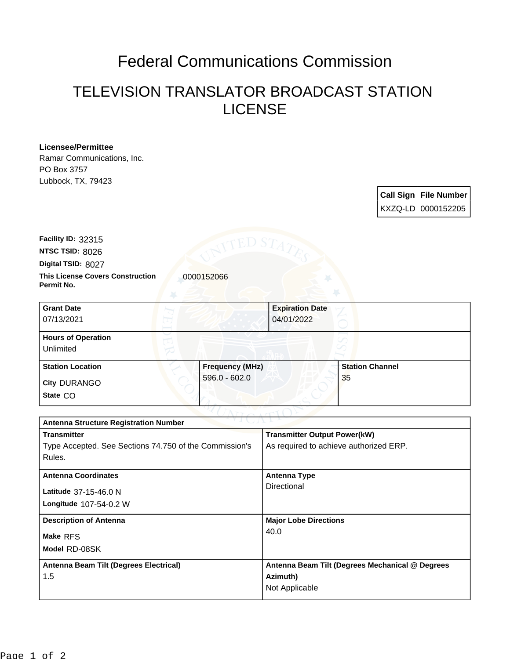## Federal Communications Commission

## TELEVISION TRANSLATOR BROADCAST STATION LICENSE

## **Licensee/Permittee**

Ramar Communications, Inc. PO Box 3757 Lubbock, TX, 79423

> **Call Sign File Number** KXZQ-LD 0000152205

**Digital TSID:** 8027 **NTSC TSID:** 8026 **Facility ID:** 32315

**Permit No.**

**This License Covers Construction 10000152066** 

| <b>Grant Date</b><br>07/13/2021        |                        | <b>Expiration Date</b><br>04/01/2022 |
|----------------------------------------|------------------------|--------------------------------------|
| <b>Hours of Operation</b><br>Unlimited |                        |                                      |
| <b>Station Location</b>                | <b>Frequency (MHz)</b> | <b>Station Channel</b>               |
| <b>City DURANGO</b><br>State CO        | $596.0 - 602.0$        | 35                                   |

| TVIL.ML<br><b>Antenna Structure Registration Number</b> |                                                 |  |  |  |
|---------------------------------------------------------|-------------------------------------------------|--|--|--|
| <b>Transmitter</b>                                      | <b>Transmitter Output Power(kW)</b>             |  |  |  |
| Type Accepted. See Sections 74.750 of the Commission's  | As required to achieve authorized ERP.          |  |  |  |
| Rules.                                                  |                                                 |  |  |  |
| <b>Antenna Coordinates</b>                              | <b>Antenna Type</b>                             |  |  |  |
|                                                         | Directional                                     |  |  |  |
| Latitude 37-15-46.0 N                                   |                                                 |  |  |  |
| Longitude 107-54-0.2 W                                  |                                                 |  |  |  |
| <b>Description of Antenna</b>                           | <b>Major Lobe Directions</b>                    |  |  |  |
| Make RFS                                                | 40.0                                            |  |  |  |
| Model RD-08SK                                           |                                                 |  |  |  |
|                                                         |                                                 |  |  |  |
| Antenna Beam Tilt (Degrees Electrical)                  | Antenna Beam Tilt (Degrees Mechanical @ Degrees |  |  |  |
| 1.5                                                     | Azimuth)                                        |  |  |  |
|                                                         | Not Applicable                                  |  |  |  |
|                                                         |                                                 |  |  |  |